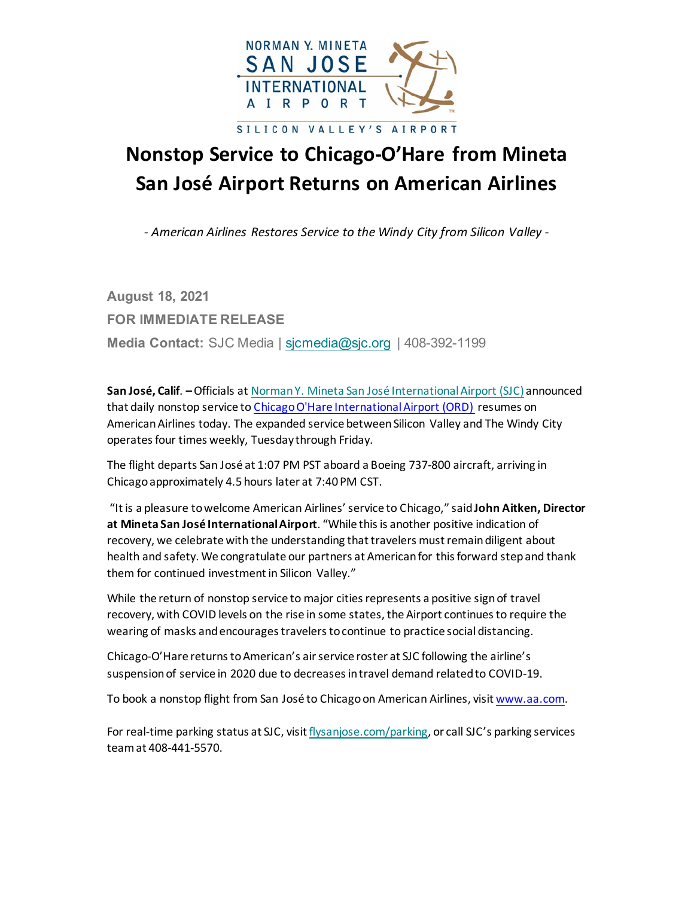

## **Nonstop Service to Chicago-O'Hare from Mineta San José Airport Returns on American Airlines**

*- American Airlines Restores Service to the Windy City from Silicon Valley -*

**August 18, 2021 FOR IMMEDIATE RELEASE Media Contact:** SJC Media | [sjcmedia@sjc.org](mailto:sjcmedia@sjc.org) | 408-392-1199

**San José, Calif**. **–**Officials at [Norman Y. Mineta San José International Airport \(SJC\)](https://gcc02.safelinks.protection.outlook.com/?url=https%3A%2F%2Fwww.flysanjose.com%2F&data=04%7C01%7Cktaylor%40sjc.org%7Cbb0bba88375e479c671208d9582cc89e%7C0fe33be061424f969b8d7817d5c26139%7C1%7C0%7C637637772519816688%7CUnknown%7CTWFpbGZsb3d8eyJWIjoiMC4wLjAwMDAiLCJQIjoiV2luMzIiLCJBTiI6Ik1haWwiLCJXVCI6Mn0%3D%7C1000&sdata=fMetYJLQS5Bm42M545X5hfTIYKHTxnBjRGpG6bOs2J0%3D&reserved=0) announced that daily nonstop service to [Chicago O'Hare International Airport \(ORD\)](https://www.flychicago.com/ohare/home/pages/default.aspx) resumes on American Airlines today. The expanded service between Silicon Valley and The Windy City operates four times weekly, Tuesday through Friday.

The flight departs San José at 1:07 PM PST aboard a Boeing 737-800 aircraft, arriving in Chicago approximately 4.5 hours later at 7:40 PM CST.

"It is a pleasure to welcome American Airlines' service to Chicago," said **John Aitken, Director at Mineta San José International Airport**. "While this is another positive indication of recovery, we celebrate with the understanding that travelers must remain diligent about health and safety. We congratulate our partners at American for this forward step and thank them for continued investment in Silicon Valley."

While the return of nonstop service to major cities represents a positive sign of travel recovery, with COVID levels on the rise in some states, the Airport continues to require the wearing of masks and encourages travelers to continue to practice social distancing.

Chicago-O'Hare returns to American's air service roster at SJC following the airline's suspension of service in 2020 due to decreases in travel demand related to COVID-19.

To book a nonstop flight from San José to Chicago on American Airlines, visit [www.aa.com.](http://www.aa.com/)

For real-time parking status at SJC, visi[t flysanjose.com/parking,](https://gcc02.safelinks.protection.outlook.com/?url=http%3A%2F%2Fwww.flysanjose.com%2Fparking&data=04%7C01%7Cktaylor%40sjc.org%7Cbb0bba88375e479c671208d9582cc89e%7C0fe33be061424f969b8d7817d5c26139%7C1%7C0%7C637637772519836607%7CUnknown%7CTWFpbGZsb3d8eyJWIjoiMC4wLjAwMDAiLCJQIjoiV2luMzIiLCJBTiI6Ik1haWwiLCJXVCI6Mn0%3D%7C1000&sdata=H4CNAEY3%2BnMsyCvCQfkNEzhbiG8xXUpvxWGJOXCPnRM%3D&reserved=0) or call SJC's parking services team at 408-441-5570.